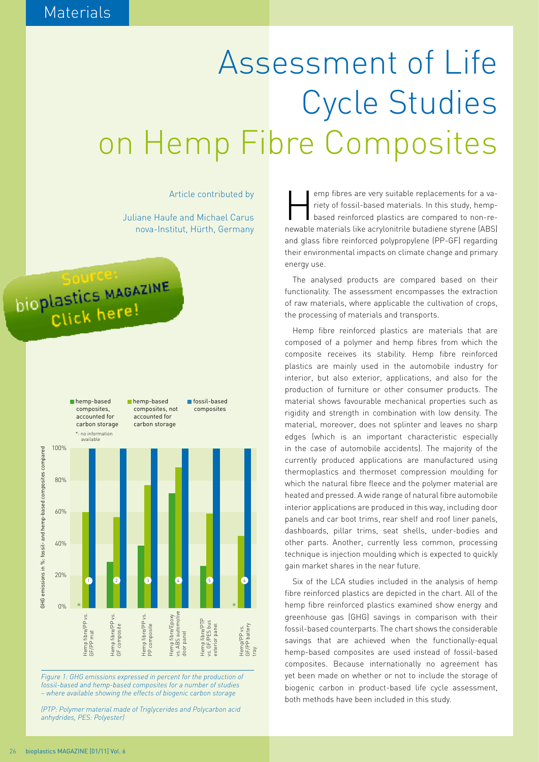## Assessment of Life Cycle Studies on Hemp Fibre Composites

Article contributed by

Juliane Haufe and Michael Carus nova-Institut, Hürth, Germany

## jource: **Source:**<br>bioplastics MAGAZINE Click here!



*Figure 1: GHG emissions expressed in percent for the production of fossil-based and hemp-based composites for a number of studies – where available showing the effects of biogenic carbon storage*

*(PTP: Polymer material made of Triglycerides and Polycarbon acid anhydrides, PES: Polyester)*

emp fibres are very suitable replacements for a va-<br>
riety of fossil-based materials. In this study, hemp-<br>
based reinforced plastics are compared to non-reriety of fossil-based materials. In this study, hempnewable materials like acrylonitrile butadiene styrene (ABS) and glass fibre reinforced polypropylene (PP-GF) regarding their environmental impacts on climate change and primary energy use.

The analysed products are compared based on their functionality. The assessment encompasses the extraction of raw materials, where applicable the cultivation of crops, the processing of materials and transports.

Hemp fibre reinforced plastics are materials that are composed of a polymer and hemp fibres from which the composite receives its stability. Hemp fibre reinforced plastics are mainly used in the automobile industry for interior, but also exterior, applications, and also for the production of furniture or other consumer products. The material shows favourable mechanical properties such as rigidity and strength in combination with low density. The material, moreover, does not splinter and leaves no sharp edges (which is an important characteristic especially in the case of automobile accidents). The majority of the currently produced applications are manufactured using thermoplastics and thermoset compression moulding for which the natural fibre fleece and the polymer material are heated and pressed. A wide range of natural fibre automobile interior applications are produced in this way, including door panels and car boot trims, rear shelf and roof liner panels, dashboards, pillar trims, seat shells, under-bodies and other parts. Another, currently less common, processing technique is injection moulding which is expected to quickly gain market shares in the near future.

Six of the LCA studies included in the analysis of hemp fibre reinforced plastics are depicted in the chart. All of the hemp fibre reinforced plastics examined show energy and greenhouse gas (GHG) savings in comparison with their fossil-based counterparts. The chart shows the considerable savings that are achieved when the functionally-equal hemp-based composites are used instead of fossil-based composites. Because internationally no agreement has yet been made on whether or not to include the storage of biogenic carbon in product-based life cycle assessment, both methods have been included in this study.